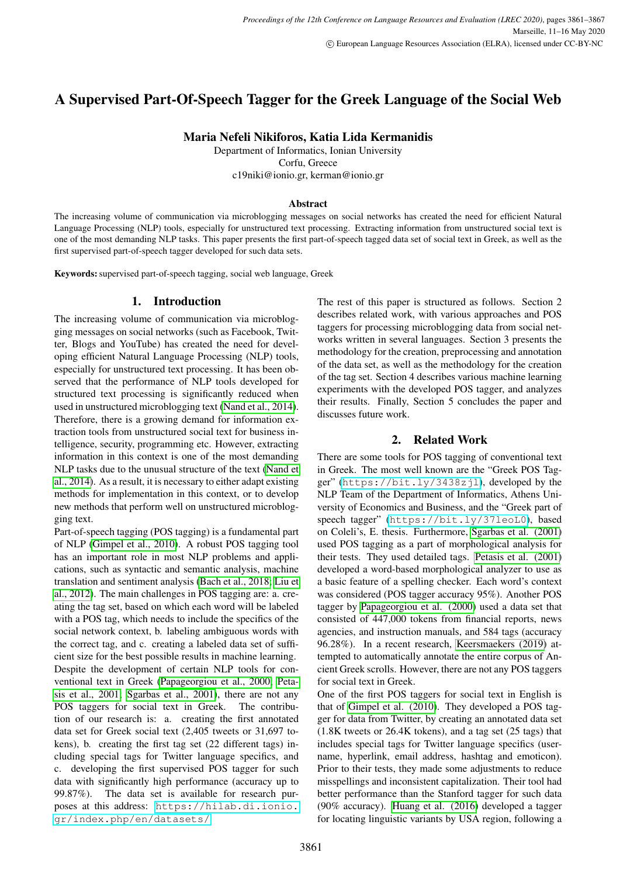# A Supervised Part-Of-Speech Tagger for the Greek Language of the Social Web

# Maria Nefeli Nikiforos, Katia Lida Kermanidis

Department of Informatics, Ionian University Corfu, Greece c19niki@ionio.gr, kerman@ionio.gr

#### Abstract

The increasing volume of communication via microblogging messages on social networks has created the need for efficient Natural Language Processing (NLP) tools, especially for unstructured text processing. Extracting information from unstructured social text is one of the most demanding NLP tasks. This paper presents the first part-of-speech tagged data set of social text in Greek, as well as the first supervised part-of-speech tagger developed for such data sets.

Keywords: supervised part-of-speech tagging, social web language, Greek

# 1. Introduction

The increasing volume of communication via microblogging messages on social networks (such as Facebook, Twitter, Blogs and YouTube) has created the need for developing efficient Natural Language Processing (NLP) tools, especially for unstructured text processing. It has been observed that the performance of NLP tools developed for structured text processing is significantly reduced when used in unstructured microblogging text [\(Nand et al., 2014\)](#page-6-0). Therefore, there is a growing demand for information extraction tools from unstructured social text for business intelligence, security, programming etc. However, extracting information in this context is one of the most demanding NLP tasks due to the unusual structure of the text [\(Nand et](#page-6-0) [al., 2014\)](#page-6-0). As a result, it is necessary to either adapt existing methods for implementation in this context, or to develop new methods that perform well on unstructured microblogging text.

Part-of-speech tagging (POS tagging) is a fundamental part of NLP [\(Gimpel et al., 2010\)](#page-6-1). A robust POS tagging tool has an important role in most NLP problems and applications, such as syntactic and semantic analysis, machine translation and sentiment analysis [\(Bach et al., 2018;](#page-6-2) [Liu et](#page-6-3) [al., 2012\)](#page-6-3). The main challenges in POS tagging are: a. creating the tag set, based on which each word will be labeled with a POS tag, which needs to include the specifics of the social network context, b. labeling ambiguous words with the correct tag, and c. creating a labeled data set of sufficient size for the best possible results in machine learning. Despite the development of certain NLP tools for conventional text in Greek [\(Papageorgiou et al., 2000;](#page-6-4) [Peta](#page-6-5)[sis et al., 2001;](#page-6-5) [Sgarbas et al., 2001\)](#page-6-6), there are not any POS taggers for social text in Greek. The contribution of our research is: a. creating the first annotated data set for Greek social text (2,405 tweets or 31,697 tokens), b. creating the first tag set (22 different tags) including special tags for Twitter language specifics, and c. developing the first supervised POS tagger for such data with significantly high performance (accuracy up to 99.87%). The data set is available for research purposes at this address: [https://hilab.di.ionio.](https://hilab.di.ionio.gr/index.php/en/datasets/) [gr/index.php/en/datasets/](https://hilab.di.ionio.gr/index.php/en/datasets/)

The rest of this paper is structured as follows. Section 2 describes related work, with various approaches and POS taggers for processing microblogging data from social networks written in several languages. Section 3 presents the methodology for the creation, preprocessing and annotation of the data set, as well as the methodology for the creation of the tag set. Section 4 describes various machine learning experiments with the developed POS tagger, and analyzes their results. Finally, Section 5 concludes the paper and discusses future work.

# 2. Related Work

There are some tools for POS tagging of conventional text in Greek. The most well known are the "Greek POS Tagger" (<https://bit.ly/3438zjl>), developed by the NLP Team of the Department of Informatics, Athens University of Economics and Business, and the "Greek part of speech tagger" (<https://bit.ly/37leoL0>), based on Coleli's, E. thesis. Furthermore, [Sgarbas et al. \(2001\)](#page-6-6) used POS tagging as a part of morphological analysis for their tests. They used detailed tags. [Petasis et al. \(2001\)](#page-6-5) developed a word-based morphological analyzer to use as a basic feature of a spelling checker. Each word's context was considered (POS tagger accuracy 95%). Another POS tagger by [Papageorgiou et al. \(2000\)](#page-6-4) used a data set that consisted of 447,000 tokens from financial reports, news agencies, and instruction manuals, and 584 tags (accuracy 96.28%). In a recent research, [Keersmaekers \(2019\)](#page-6-7) attempted to automatically annotate the entire corpus of Ancient Greek scrolls. However, there are not any POS taggers for social text in Greek.

One of the first POS taggers for social text in English is that of [Gimpel et al. \(2010\)](#page-6-1). They developed a POS tagger for data from Twitter, by creating an annotated data set (1.8K tweets or 26.4K tokens), and a tag set (25 tags) that includes special tags for Twitter language specifics (username, hyperlink, email address, hashtag and emoticon). Prior to their tests, they made some adjustments to reduce misspellings and inconsistent capitalization. Their tool had better performance than the Stanford tagger for such data (90% accuracy). [Huang et al. \(2016\)](#page-6-8) developed a tagger for locating linguistic variants by USA region, following a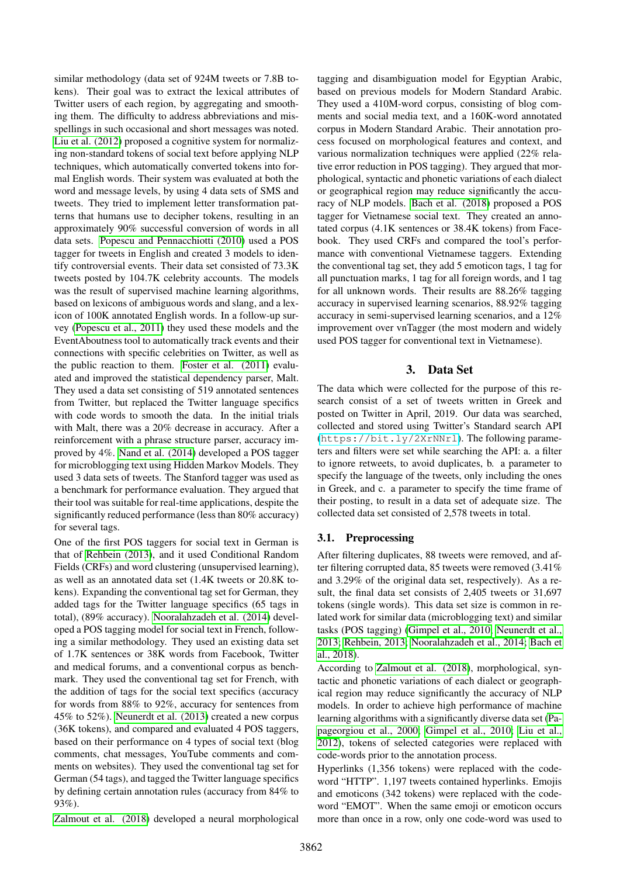similar methodology (data set of 924M tweets or 7.8B tokens). Their goal was to extract the lexical attributes of Twitter users of each region, by aggregating and smoothing them. The difficulty to address abbreviations and misspellings in such occasional and short messages was noted. [Liu et al. \(2012\)](#page-6-3) proposed a cognitive system for normalizing non-standard tokens of social text before applying NLP techniques, which automatically converted tokens into formal English words. Their system was evaluated at both the word and message levels, by using 4 data sets of SMS and tweets. They tried to implement letter transformation patterns that humans use to decipher tokens, resulting in an approximately 90% successful conversion of words in all data sets. [Popescu and Pennacchiotti \(2010\)](#page-6-9) used a POS tagger for tweets in English and created 3 models to identify controversial events. Their data set consisted of 73.3K tweets posted by 104.7K celebrity accounts. The models was the result of supervised machine learning algorithms, based on lexicons of ambiguous words and slang, and a lexicon of 100K annotated English words. In a follow-up survey [\(Popescu et al., 2011\)](#page-6-10) they used these models and the EventAboutness tool to automatically track events and their connections with specific celebrities on Twitter, as well as the public reaction to them. [Foster et al. \(2011\)](#page-6-11) evaluated and improved the statistical dependency parser, Malt. They used a data set consisting of 519 annotated sentences from Twitter, but replaced the Twitter language specifics with code words to smooth the data. In the initial trials with Malt, there was a 20% decrease in accuracy. After a reinforcement with a phrase structure parser, accuracy improved by 4%. [Nand et al. \(2014\)](#page-6-0) developed a POS tagger for microblogging text using Hidden Markov Models. They used 3 data sets of tweets. The Stanford tagger was used as a benchmark for performance evaluation. They argued that their tool was suitable for real-time applications, despite the significantly reduced performance (less than 80% accuracy) for several tags.

One of the first POS taggers for social text in German is that of [Rehbein \(2013\)](#page-6-12), and it used Conditional Random Fields (CRFs) and word clustering (unsupervised learning), as well as an annotated data set (1.4K tweets or 20.8K tokens). Expanding the conventional tag set for German, they added tags for the Twitter language specifics (65 tags in total), (89% accuracy). [Nooralahzadeh et al. \(2014\)](#page-6-13) developed a POS tagging model for social text in French, following a similar methodology. They used an existing data set of 1.7K sentences or 38K words from Facebook, Twitter and medical forums, and a conventional corpus as benchmark. They used the conventional tag set for French, with the addition of tags for the social text specifics (accuracy for words from 88% to 92%, accuracy for sentences from 45% to 52%). [Neunerdt et al. \(2013\)](#page-6-14) created a new corpus (36K tokens), and compared and evaluated 4 POS taggers, based on their performance on 4 types of social text (blog comments, chat messages, YouTube comments and comments on websites). They used the conventional tag set for German (54 tags), and tagged the Twitter language specifics by defining certain annotation rules (accuracy from 84% to 93%).

[Zalmout et al. \(2018\)](#page-6-15) developed a neural morphological

tagging and disambiguation model for Egyptian Arabic, based on previous models for Modern Standard Arabic. They used a 410M-word corpus, consisting of blog comments and social media text, and a 160K-word annotated corpus in Modern Standard Arabic. Their annotation process focused on morphological features and context, and various normalization techniques were applied (22% relative error reduction in POS tagging). They argued that morphological, syntactic and phonetic variations of each dialect or geographical region may reduce significantly the accuracy of NLP models. [Bach et al. \(2018\)](#page-6-2) proposed a POS tagger for Vietnamese social text. They created an annotated corpus (4.1K sentences or 38.4K tokens) from Facebook. They used CRFs and compared the tool's performance with conventional Vietnamese taggers. Extending the conventional tag set, they add 5 emoticon tags, 1 tag for all punctuation marks, 1 tag for all foreign words, and 1 tag for all unknown words. Their results are 88.26% tagging accuracy in supervised learning scenarios, 88.92% tagging accuracy in semi-supervised learning scenarios, and a 12% improvement over vnTagger (the most modern and widely used POS tagger for conventional text in Vietnamese).

# 3. Data Set

The data which were collected for the purpose of this research consist of a set of tweets written in Greek and posted on Twitter in April, 2019. Our data was searched, collected and stored using Twitter's Standard search API (<https://bit.ly/2XrNNrl>). The following parameters and filters were set while searching the API: a. a filter to ignore retweets, to avoid duplicates, b. a parameter to specify the language of the tweets, only including the ones in Greek, and c. a parameter to specify the time frame of their posting, to result in a data set of adequate size. The collected data set consisted of 2,578 tweets in total.

# 3.1. Preprocessing

After filtering duplicates, 88 tweets were removed, and after filtering corrupted data, 85 tweets were removed (3.41% and 3.29% of the original data set, respectively). As a result, the final data set consists of 2,405 tweets or 31,697 tokens (single words). This data set size is common in related work for similar data (microblogging text) and similar tasks (POS tagging) [\(Gimpel et al., 2010;](#page-6-1) [Neunerdt et al.,](#page-6-14) [2013;](#page-6-14) [Rehbein, 2013;](#page-6-12) [Nooralahzadeh et al., 2014;](#page-6-13) [Bach et](#page-6-2) [al., 2018\)](#page-6-2).

According to [Zalmout et al. \(2018\)](#page-6-15), morphological, syntactic and phonetic variations of each dialect or geographical region may reduce significantly the accuracy of NLP models. In order to achieve high performance of machine learning algorithms with a significantly diverse data set [\(Pa](#page-6-4)[pageorgiou et al., 2000;](#page-6-4) [Gimpel et al., 2010;](#page-6-1) [Liu et al.,](#page-6-3) [2012\)](#page-6-3), tokens of selected categories were replaced with code-words prior to the annotation process.

Hyperlinks (1,356 tokens) were replaced with the codeword "HTTP". 1,197 tweets contained hyperlinks. Emojis and emoticons (342 tokens) were replaced with the codeword "EMOT". When the same emoji or emoticon occurs more than once in a row, only one code-word was used to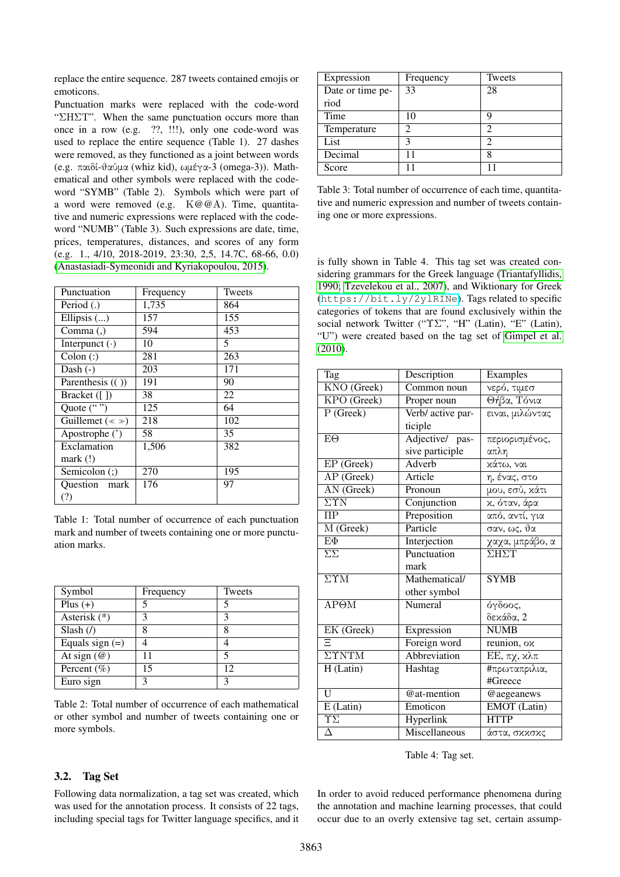replace the entire sequence. 287 tweets contained emojis or emoticons.

Punctuation marks were replaced with the code-word "ΣΗΣΤ". When the same punctuation occurs more than once in a row (e.g. ??, !!!), only one code-word was used to replace the entire sequence (Table 1). 27 dashes were removed, as they functioned as a joint between words (e.g. παιδί-θαύμα (whiz kid), ωμέγα-3 (omega-3)). Mathematical and other symbols were replaced with the codeword "SYMB" (Table 2). Symbols which were part of a word were removed (e.g. Κ@@Α). Time, quantitative and numeric expressions were replaced with the codeword "NUMB" (Table 3). Such expressions are date, time, prices, temperatures, distances, and scores of any form (e.g. 1., 4/10, 2018-2019, 23:30, 2,5, 14.7C, 68-66, 0.0) [\(Anastasiadi-Symeonidi and Kyriakopoulou, 2015\)](#page-6-16).

| Punctuation                | Frequency | Tweets |
|----------------------------|-----------|--------|
| Period (.)                 | 1,735     | 864    |
| Ellipsis $()$              | 157       | 155    |
| Comma(.)                   | 594       | 453    |
| Interpunct $(\cdot)$       | 10        | 5      |
| $\text{Colon}$ $\left($ :) | 281       | 263    |
| Dash $(-)$                 | 203       | 171    |
| Parenthesis $(())$         | 191       | 90     |
| Bracket $($ [ $)$ ]        | 38        | 22     |
| Quote ("")                 | 125       | 64     |
| Guillemet ( $\ll \gg$ )    | 218       | 102    |
| Apostrophe (')             | 58        | 35     |
| Exclamation                | 1,506     | 382    |
| $mark$ (!)                 |           |        |
| Semicolon (;)              | 270       | 195    |
| Ouestion mark              | 176       | 97     |
| (?)                        |           |        |

Table 1: Total number of occurrence of each punctuation mark and number of tweets containing one or more punctuation marks.

| Symbol             | Frequency | Tweets |
|--------------------|-----------|--------|
| Plus $(+)$         |           |        |
| Asterisk $(*)$     | ว         | 3      |
| Slash $($ )        | 8         | 8      |
| Equals sign $(=)$  |           |        |
| At sign $(\omega)$ |           |        |
| Percent $(\% )$    | 15        | 12     |
| Euro sign          |           |        |

Table 2: Total number of occurrence of each mathematical or other symbol and number of tweets containing one or more symbols.

| Expression       | Frequency      | Tweets |
|------------------|----------------|--------|
| Date or time pe- | 33             | 28     |
| riod             |                |        |
| Time             | 10             |        |
| Temperature      | $\mathfrak{D}$ |        |
| List             | 3              |        |
| Decimal          |                | 8      |
| Score            |                |        |

Table 3: Total number of occurrence of each time, quantitative and numeric expression and number of tweets containing one or more expressions.

is fully shown in Table 4. This tag set was created considering grammars for the Greek language [\(Triantafyllidis,](#page-6-17) [1990;](#page-6-17) [Tzevelekou et al., 2007\)](#page-6-18), and Wiktionary for Greek (<https://bit.ly/2ylRINe>). Tags related to specific categories of tokens that are found exclusively within the social network Twitter ("ΥΣ", "H" (Latin), "E" (Latin), "U") were created based on the tag set of [Gimpel et al.](#page-6-1) [\(2010\)](#page-6-1).

| Tag                            | Description                     | Examples        |  |
|--------------------------------|---------------------------------|-----------------|--|
| KNO (Greek)                    | $\overline{\text{Common}}$ noun | νερό, τιμεσ     |  |
| KPO (Greek)                    | Proper noun                     | Θήβα, Τόνια     |  |
| P (Greek)                      | Verb/ active par-               | ειναι, μιλώντας |  |
|                                | ticiple                         |                 |  |
| $E\Theta$                      | Adjective/ pas-                 | περιορισμένος,  |  |
|                                | sive participle                 | απλη            |  |
| EP (Greek)                     | Adverb                          | χάτω, ναι       |  |
| AP (Greek)                     | Article                         | η, ένας, στο    |  |
| AN (Greek)                     | Pronoun                         | μου, εσύ, κάτι  |  |
| $\overline{\Sigma \Upsilon N}$ | Conjunction                     | χ, όταν, άρα    |  |
| $\Pi$ P                        | Preposition                     | από, αντί, για  |  |
| M (Greek)                      | Particle                        | σαν, ως, θα     |  |
| $E\Phi$                        | Interjection                    | χαχα, μπράβο, α |  |
| $\Sigma\Sigma$                 | Punctuation                     | ΣΗΣΤ            |  |
|                                | mark                            |                 |  |
| $\overline{\Sigma \Upsilon M}$ | Mathematical/                   | <b>SYMB</b>     |  |
|                                | other symbol                    |                 |  |
| AP <sub>OM</sub>               | Numeral                         | όγδοος,         |  |
|                                |                                 | δεκάδα, 2       |  |
| EK (Greek)                     | Expression                      | <b>NUMB</b>     |  |
| Ξ                              | Foreign word                    | reunion, ox     |  |
| $\Sigma \Upsilon N T M$        | Abbreviation                    | EE, πχ, κλπ     |  |
| H (Latin)                      | Hashtag                         | #πρωταπριλια,   |  |
|                                |                                 | #Greece         |  |
| U                              | @at-mention                     | @aegeanews      |  |
| E (Latin)                      | Emoticon                        | EMOT (Latin)    |  |
| $\overline{\Upsilon\Sigma}$    | Hyperlink                       | <b>HTTP</b>     |  |
| Δ                              | Miscellaneous                   | άστα, σκκσκς    |  |

Table 4: Tag set.

In order to avoid reduced performance phenomena during the annotation and machine learning processes, that could occur due to an overly extensive tag set, certain assump-

#### 3.2. Tag Set

Following data normalization, a tag set was created, which was used for the annotation process. It consists of 22 tags, including special tags for Twitter language specifics, and it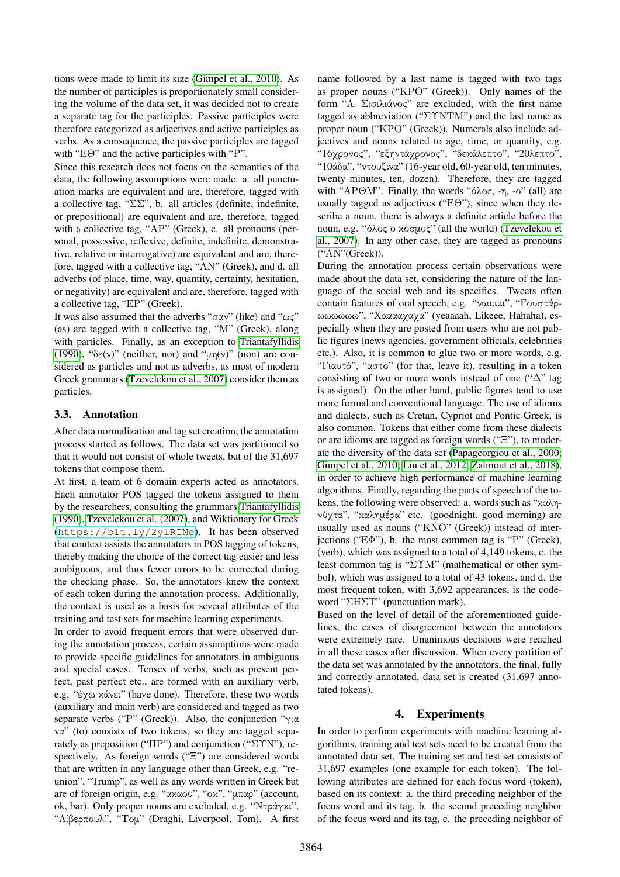tions were made to limit its size [\(Gimpel et al., 2010\)](#page-6-1). As the number of participles is proportionately small considering the volume of the data set, it was decided not to create a separate tag for the participles. Passive participles were therefore categorized as adjectives and active participles as verbs. As a consequence, the passive participles are tagged with "ΕΘ" and the active participles with "Ρ".

Since this research does not focus on the semantics of the data, the following assumptions were made: a. all punctuation marks are equivalent and are, therefore, tagged with a collective tag, "ΣΣ", b. all articles (definite, indefinite, or prepositional) are equivalent and are, therefore, tagged with a collective tag, "ΑΡ" (Greek), c. all pronouns (personal, possessive, reflexive, definite, indefinite, demonstrative, relative or interrogative) are equivalent and are, therefore, tagged with a collective tag, "ΑΝ" (Greek), and d. all adverbs (of place, time, way, quantity, certainty, hesitation, or negativity) are equivalent and are, therefore, tagged with a collective tag, "ΕΡ" (Greek).

It was also assumed that the adverbs "σαν" (like) and "ως" (as) are tagged with a collective tag, "Μ" (Greek), along with particles. Finally, as an exception to [Triantafyllidis](#page-6-17) [\(1990\)](#page-6-17), "δε(ν)" (neither, nor) and "μη(ν)" (non) are considered as particles and not as adverbs, as most of modern Greek grammars [\(Tzevelekou et al., 2007\)](#page-6-18) consider them as particles.

### 3.3. Annotation

After data normalization and tag set creation, the annotation process started as follows. The data set was partitioned so that it would not consist of whole tweets, but of the 31,697 tokens that compose them.

At first, a team of 6 domain experts acted as annotators. Each annotator POS tagged the tokens assigned to them by the researchers, consulting the grammars [Triantafyllidis](#page-6-17) [\(1990\)](#page-6-17), [Tzevelekou et al. \(2007\)](#page-6-18), and Wiktionary for Greek (<https://bit.ly/2ylRINe>). It has been observed that context assists the annotators in POS tagging of tokens, thereby making the choice of the correct tag easier and less ambiguous, and thus fewer errors to be corrected during the checking phase. So, the annotators knew the context of each token during the annotation process. Additionally, the context is used as a basis for several attributes of the training and test sets for machine learning experiments.

In order to avoid frequent errors that were observed during the annotation process, certain assumptions were made to provide specific guidelines for annotators in ambiguous and special cases. Tenses of verbs, such as present perfect, past perfect etc., are formed with an auxiliary verb, e.g. "έχω κάνει" (have done). Therefore, these two words (auxiliary and main verb) are considered and tagged as two separate verbs ("Ρ" (Greek)). Also, the conjunction "για να" (to) consists of two tokens, so they are tagged separately as preposition ("ΠΡ") and conjunction ("ΣΥΝ"), respectively. As foreign words ("Ξ") are considered words that are written in any language other than Greek, e.g. "reunion", "Trump", as well as any words written in Greek but are of foreign origin, e.g. "ακαου", "οκ", "μπαρ" (account, ok, bar). Only proper nouns are excluded, e.g. "Ντράγκι", "Λίβερπουλ", "Τομ" (Draghi, Liverpool, Tom). A first name followed by a last name is tagged with two tags as proper nouns ("ΚΡΟ" (Greek)). Only names of the form "Λ. Σισιλιάνος" are excluded, with the first name tagged as abbreviation ("ΣΥΝΤΜ") and the last name as proper noun ("ΚΡΟ" (Greek)). Numerals also include adjectives and nouns related to age, time, or quantity, e.g. "16χρονος", "εξηντάχρονος", "δεκάλεπτο", "20λεπτο", "10άδα", "ντουζινα" (16-year old, 60-year old, ten minutes, twenty minutes, ten, dozen). Therefore, they are tagged with "APΘM". Finally, the words "όλος, -η, -ο" (all) are usually tagged as adjectives ("ΕΘ"), since when they describe a noun, there is always a definite article before the noun, e.g. "όλος ο κόσμος" (all the world) [\(Tzevelekou et](#page-6-18) [al., 2007\)](#page-6-18). In any other case, they are tagged as pronouns ("ΑΝ"(Greek)).

During the annotation process certain observations were made about the data set, considering the nature of the language of the social web and its specifics. Tweets often contain features of oral speech, e.g. "ναιιιιιιι", "Γουστάρωωωωωω", "Χααααχαχα" (yeaaaah, Likeee, Hahaha), especially when they are posted from users who are not public figures (news agencies, government officials, celebrities etc.). Also, it is common to glue two or more words, e.g. "Γιαυτό", "αστο" (for that, leave it), resulting in a token consisting of two or more words instead of one (" $\Delta$ " tag is assigned). On the other hand, public figures tend to use more formal and conventional language. The use of idioms and dialects, such as Cretan, Cypriot and Pontic Greek, is also common. Tokens that either come from these dialects or are idioms are tagged as foreign words ("Ξ"), to moderate the diversity of the data set [\(Papageorgiou et al., 2000;](#page-6-4) [Gimpel et al., 2010;](#page-6-1) [Liu et al., 2012;](#page-6-3) [Zalmout et al., 2018\)](#page-6-15), in order to achieve high performance of machine learning algorithms. Finally, regarding the parts of speech of the tokens, the following were observed: a. words such as "καληνύχτα", "καλημέρα" etc. (goodnight, good morning) are usually used as nouns ("KNO" (Greek)) instead of interjections ("ΕΦ"), b. the most common tag is "Ρ" (Greek), (verb), which was assigned to a total of 4,149 tokens, c. the least common tag is "ΣΥΜ" (mathematical or other symbol), which was assigned to a total of 43 tokens, and d. the most frequent token, with 3,692 appearances, is the codeword "ΣΗΣΤ" (punctuation mark).

Based on the level of detail of the aforementioned guidelines, the cases of disagreement between the annotators were extremely rare. Unanimous decisions were reached in all these cases after discussion. When every partition of the data set was annotated by the annotators, the final, fully and correctly annotated, data set is created (31,697 annotated tokens).

# 4. Experiments

In order to perform experiments with machine learning algorithms, training and test sets need to be created from the annotated data set. The training set and test set consists of 31,697 examples (one example for each token). The following attributes are defined for each focus word (token), based on its context: a. the third preceding neighbor of the focus word and its tag, b. the second preceding neighbor of the focus word and its tag, c. the preceding neighbor of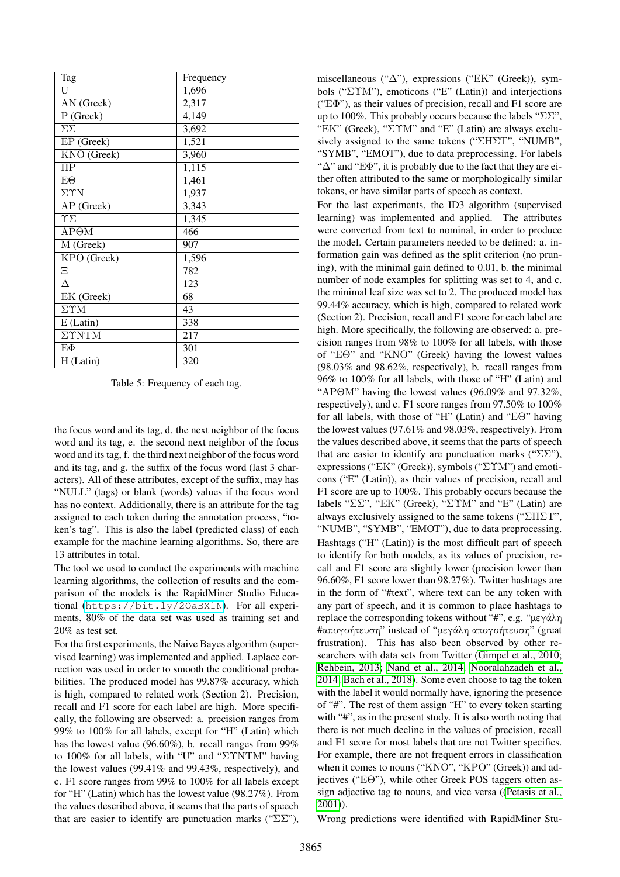| Tag                    | Frequency |
|------------------------|-----------|
| U                      | 1,696     |
| AN (Greek)             | 2,317     |
| P (Greek)              | 4,149     |
| $\Sigma\Sigma$         | 3,692     |
| EP (Greek)             | 1,521     |
| KNO (Greek)            | 3,960     |
| $\Pi$ P                | 1,115     |
| $E\Theta$              | 1,461     |
| $\Sigma \Upsilon N$    | 1,937     |
| AP (Greek)             | 3,343     |
| $\Upsilon\Sigma$       | 1,345     |
| $AP \Theta M$          | 466       |
| M (Greek)              | 907       |
| KPO (Greek)            | 1,596     |
| Ξ                      | 782       |
| А                      | 123       |
| EK (Greek)             | 68        |
| $\Sigma \Upsilon M$    | 43        |
| $E$ (Latin)            | 338       |
| $\Sigma \Upsilon N TM$ | 217       |
| $E\Phi$                | 301       |
| H (Latin)              | 320       |

Table 5: Frequency of each tag.

the focus word and its tag, d. the next neighbor of the focus word and its tag, e. the second next neighbor of the focus word and its tag, f. the third next neighbor of the focus word and its tag, and g. the suffix of the focus word (last 3 characters). All of these attributes, except of the suffix, may has "NULL" (tags) or blank (words) values if the focus word has no context. Additionally, there is an attribute for the tag assigned to each token during the annotation process, "token's tag". This is also the label (predicted class) of each example for the machine learning algorithms. So, there are 13 attributes in total.

The tool we used to conduct the experiments with machine learning algorithms, the collection of results and the comparison of the models is the RapidMiner Studio Educational (<https://bit.ly/2OaBX1N>). For all experiments, 80% of the data set was used as training set and 20% as test set.

For the first experiments, the Naive Bayes algorithm (supervised learning) was implemented and applied. Laplace correction was used in order to smooth the conditional probabilities. The produced model has 99.87% accuracy, which is high, compared to related work (Section 2). Precision, recall and F1 score for each label are high. More specifically, the following are observed: a. precision ranges from 99% to 100% for all labels, except for "H" (Latin) which has the lowest value (96.60%), b. recall ranges from 99% to 100% for all labels, with "U" and "ΣΥΝΤΜ" having the lowest values (99.41% and 99.43%, respectively), and c. F1 score ranges from 99% to 100% for all labels except for "H" (Latin) which has the lowest value (98.27%). From the values described above, it seems that the parts of speech that are easier to identify are punctuation marks (" $\Sigma\Sigma$ "),

miscellaneous (" $\Delta$ "), expressions ("EK" (Greek)), symbols ("ΣΥΜ"), emoticons ("E" (Latin)) and interjections ("ΕΦ"), as their values of precision, recall and F1 score are up to 100%. This probably occurs because the labels " $\Sigma \Sigma$ ", "ΕΚ" (Greek), "ΣΥΜ" and "E" (Latin) are always exclusively assigned to the same tokens ("ΣΗΣΤ", "NUMB", "SYMB", "EMOT"), due to data preprocessing. For labels " $\Delta$ " and "E $\Phi$ ", it is probably due to the fact that they are either often attributed to the same or morphologically similar tokens, or have similar parts of speech as context.

For the last experiments, the ID3 algorithm (supervised learning) was implemented and applied. The attributes were converted from text to nominal, in order to produce the model. Certain parameters needed to be defined: a. information gain was defined as the split criterion (no pruning), with the minimal gain defined to 0.01, b. the minimal number of node examples for splitting was set to 4, and c. the minimal leaf size was set to 2. The produced model has 99.44% accuracy, which is high, compared to related work (Section 2). Precision, recall and F1 score for each label are high. More specifically, the following are observed: a. precision ranges from 98% to 100% for all labels, with those of "ΕΘ" and "ΚΝΟ" (Greek) having the lowest values (98.03% and 98.62%, respectively), b. recall ranges from 96% to 100% for all labels, with those of "H" (Latin) and "ΑΡΘΜ" having the lowest values (96.09% and 97.32%, respectively), and c. F1 score ranges from 97.50% to 100% for all labels, with those of "H" (Latin) and "ΕΘ" having the lowest values (97.61% and 98.03%, respectively). From the values described above, it seems that the parts of speech that are easier to identify are punctuation marks (" $\Sigma \Sigma$ "), expressions ("ΕΚ" (Greek)), symbols ("ΣΥΜ") and emoticons ("E" (Latin)), as their values of precision, recall and F1 score are up to 100%. This probably occurs because the labels "ΣΣ", "ΕΚ" (Greek), "ΣΥΜ" and "E" (Latin) are always exclusively assigned to the same tokens ("ΣΗΣΤ", "NUMB", "SYMB", "EMOT"), due to data preprocessing. Hashtags ("H" (Latin)) is the most difficult part of speech to identify for both models, as its values of precision, recall and F1 score are slightly lower (precision lower than 96.60%, F1 score lower than 98.27%). Twitter hashtags are in the form of "#text", where text can be any token with any part of speech, and it is common to place hashtags to replace the corresponding tokens without "#", e.g. "μεγάλη #απογοήτευση" instead of "μεγάλη απογοήτευση" (great frustration). This has also been observed by other researchers with data sets from Twitter [\(Gimpel et al., 2010;](#page-6-1) [Rehbein, 2013;](#page-6-12) [Nand et al., 2014;](#page-6-0) [Nooralahzadeh et al.,](#page-6-13) [2014;](#page-6-13) [Bach et al., 2018\)](#page-6-2). Some even choose to tag the token with the label it would normally have, ignoring the presence of "#". The rest of them assign "H" to every token starting with "#", as in the present study. It is also worth noting that there is not much decline in the values of precision, recall and F1 score for most labels that are not Twitter specifics. For example, there are not frequent errors in classification when it comes to nouns ("ΚΝΟ", "ΚΡΟ" (Greek)) and adjectives ("ΕΘ"), while other Greek POS taggers often assign adjective tag to nouns, and vice versa ([\(Petasis et al.,](#page-6-5) [2001\)](#page-6-5)).

Wrong predictions were identified with RapidMiner Stu-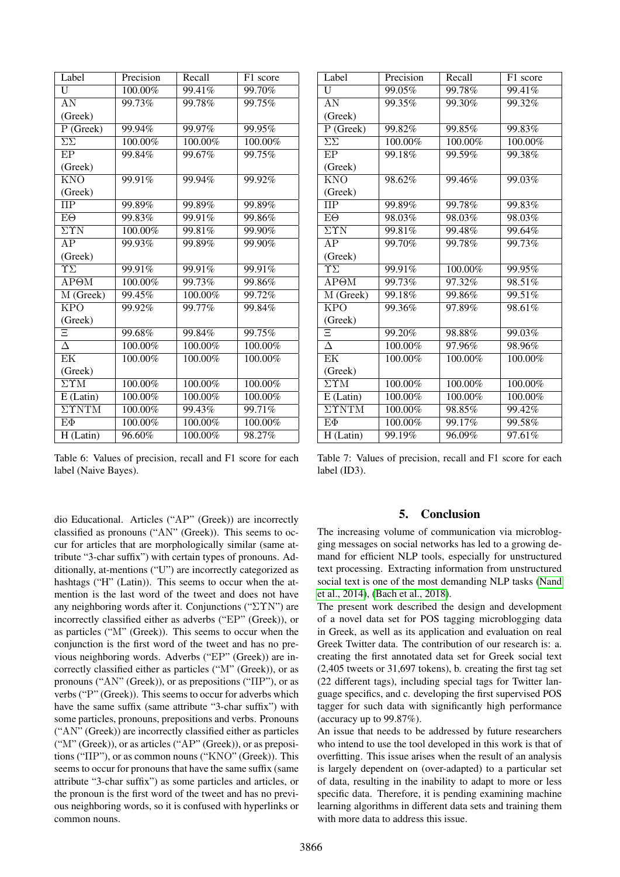| Label                       | Precision  | Recall  | F1 score |
|-----------------------------|------------|---------|----------|
| U                           | 100.00%    | 99.41%  | 99.70%   |
| $\overline{\rm AN}$         | 99.73%     | 99.78%  | 99.75%   |
| (Greek)                     |            |         |          |
| $P$ (Greek)                 | 99.94%     | 99.97%  | 99.95%   |
| $\Sigma\Sigma$              | 100.00%    | 100.00% | 100.00%  |
| EP                          | 99.84%     | 99.67%  | 99.75%   |
| (Greek)                     |            |         |          |
| <b>KNO</b>                  | 99.91%     | 99.94%  | 99.92%   |
| (Greek)                     |            |         |          |
| $\Pi$ P                     | 99.89%     | 99.89%  | 99.89%   |
| $E\Theta$                   | 99.83%     | 99.91%  | 99.86%   |
| $\Sigma \Upsilon N$         | 100.00%    | 99.81%  | 99.90%   |
| AP                          | 99.93%     | 99.89%  | 99.90%   |
| (Greek)                     |            |         |          |
| $\overline{\Upsilon\Sigma}$ | 99.91%     | 99.91%  | 99.91%   |
| AP <sub>OM</sub>            | 100.00%    | 99.73%  | 99.86%   |
| M (Greek)                   | 99.45%     | 100.00% | 99.72%   |
| KPO                         | 99.92%     | 99.77%  | 99.84%   |
| (Greek)                     |            |         |          |
| Ξ                           | 99.68%     | 99.84%  | 99.75%   |
| $\overline{\Delta}$         | 100.00%    | 100.00% | 100.00%  |
| EK                          | 100.00%    | 100.00% | 100.00%  |
| (Greek)                     |            |         |          |
| $\Sigma \Upsilon M$         | 100.00%    | 100.00% | 100.00%  |
| $E$ (Latin)                 | 100.00%    | 100.00% | 100.00%  |
| $\Sigma \Upsilon N TM$      | $100.00\%$ | 99.43%  | 99.71%   |
| EФ                          | 100.00%    | 100.00% | 100.00%  |
| H(Latin)                    | 96.60%     | 100.00% | 98.27%   |

| Label                          | Precision | Recall               | $\overline{F}1$ score |
|--------------------------------|-----------|----------------------|-----------------------|
| U                              | 99.05%    | 99.78%               | 99.41%                |
| AN                             | 99.35%    | 99.30%               | 99.32%                |
| (Greek)                        |           |                      |                       |
| $P$ (Greek)                    | 99.82%    | 99.85%               | 99.83%                |
| $\overline{\Sigma\Sigma}$      | 100.00%   | 100.00%              | 100.00%               |
| EP                             | 99.18%    | 99.59%               | 99.38%                |
| (Greek)                        |           |                      |                       |
| <b>KNO</b>                     | 98.62%    | 99.46%               | 99.03%                |
| (Greek)                        |           |                      |                       |
| $\Pi$ P                        | 99.89%    | 99.78%               | 99.83%                |
| $E\Theta$                      | 98.03%    | 98.03%               | 98.03%                |
| $\overline{\Sigma \Upsilon N}$ | 99.81%    | 99.48%               | 99.64%                |
| AP                             | 99.70%    | 99.78%               | 99.73%                |
| (Greek)                        |           |                      |                       |
| $\Upsilon\Sigma$               | 99.91%    | 100.00%              | 99.95%                |
| AP <sub>OM</sub>               | 99.73%    | 97.32%               | 98.51%                |
| M (Greek)                      | 99.18%    | 99.86%               | 99.51%                |
| $\overline{\text{KPO}}$        | 99.36%    | $\overline{9}7.89\%$ | 98.61%                |
| (Greek)                        |           |                      |                       |
| Ξ                              | 99.20%    | 98.88%               | 99.03%                |
| $\overline{\Delta}$            | 100.00%   | 97.96%               | 98.96%                |
| EK                             | 100.00%   | 100.00%              | 100.00%               |
| (Greek)                        |           |                      |                       |
| $\overline{\Sigma \Upsilon M}$ | 100.00%   | 100.00%              | 100.00%               |
| $E$ (Latin)                    | 100.00%   | 100.00%              | 100.00%               |
| $\Sigma \Upsilon N TM$         | 100.00%   | 98.85%               | 99.42%                |
| $E\Phi$                        | 100.00%   | 99.17%               | 99.58%                |
| H (Latin)                      | 99.19%    | 96.09%               | 97.61%                |

Table 6: Values of precision, recall and F1 score for each label (Naive Bayes).

dio Educational. Articles ("ΑΡ" (Greek)) are incorrectly classified as pronouns ("ΑΝ" (Greek)). This seems to occur for articles that are morphologically similar (same attribute "3-char suffix") with certain types of pronouns. Additionally, at-mentions ("U") are incorrectly categorized as hashtags ("H" (Latin)). This seems to occur when the atmention is the last word of the tweet and does not have any neighboring words after it. Conjunctions ("ΣΥΝ") are incorrectly classified either as adverbs ("ΕΡ" (Greek)), or as particles ("Μ" (Greek)). This seems to occur when the conjunction is the first word of the tweet and has no previous neighboring words. Adverbs ("ΕΡ" (Greek)) are incorrectly classified either as particles ("Μ" (Greek)), or as pronouns ("ΑΝ" (Greek)), or as prepositions ("ΠΡ"), or as verbs ("Ρ" (Greek)). This seems to occur for adverbs which have the same suffix (same attribute "3-char suffix") with some particles, pronouns, prepositions and verbs. Pronouns ("ΑΝ" (Greek)) are incorrectly classified either as particles ("Μ" (Greek)), or as articles ("ΑΡ" (Greek)), or as prepositions ("ΠΡ"), or as common nouns ("ΚΝΟ" (Greek)). This seems to occur for pronouns that have the same suffix (same attribute "3-char suffix") as some particles and articles, or the pronoun is the first word of the tweet and has no previous neighboring words, so it is confused with hyperlinks or common nouns.

Table 7: Values of precision, recall and F1 score for each label (ID3).

#### 5. Conclusion

The increasing volume of communication via microblogging messages on social networks has led to a growing demand for efficient NLP tools, especially for unstructured text processing. Extracting information from unstructured social text is one of the most demanding NLP tasks [\(Nand](#page-6-0) [et al., 2014\)](#page-6-0), [\(Bach et al., 2018\)](#page-6-2).

The present work described the design and development of a novel data set for POS tagging microblogging data in Greek, as well as its application and evaluation on real Greek Twitter data. The contribution of our research is: a. creating the first annotated data set for Greek social text (2,405 tweets or 31,697 tokens), b. creating the first tag set (22 different tags), including special tags for Twitter language specifics, and c. developing the first supervised POS tagger for such data with significantly high performance (accuracy up to  $99.87\%$ ).

An issue that needs to be addressed by future researchers who intend to use the tool developed in this work is that of overfitting. This issue arises when the result of an analysis is largely dependent on (over-adapted) to a particular set of data, resulting in the inability to adapt to more or less specific data. Therefore, it is pending examining machine learning algorithms in different data sets and training them with more data to address this issue.